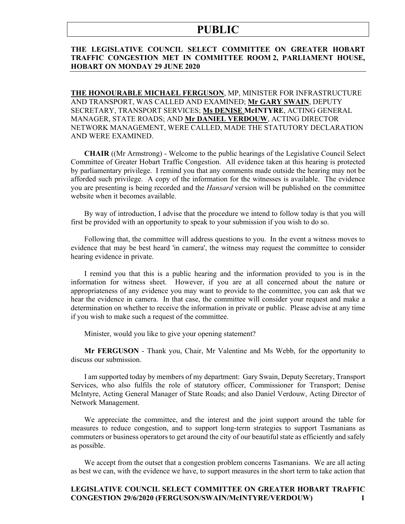#### **THE LEGISLATIVE COUNCIL SELECT COMMITTEE ON GREATER HOBART TRAFFIC CONGESTION MET IN COMMITTEE ROOM 2, PARLIAMENT HOUSE, HOBART ON MONDAY 29 JUNE 2020**

**THE HONOURABLE MICHAEL FERGUSON**, MP, MINISTER FOR INFRASTRUCTURE AND TRANSPORT, WAS CALLED AND EXAMINED; **Mr GARY SWAIN**, DEPUTY SECRETARY, TRANSPORT SERVICES; **Ms DENISE McINTYRE**, ACTING GENERAL MANAGER, STATE ROADS; AND **Mr DANIEL VERDOUW**, ACTING DIRECTOR NETWORK MANAGEMENT, WERE CALLED, MADE THE STATUTORY DECLARATION AND WERE EXAMINED.

**CHAIR** ((Mr Armstrong) - Welcome to the public hearings of the Legislative Council Select Committee of Greater Hobart Traffic Congestion. All evidence taken at this hearing is protected by parliamentary privilege. I remind you that any comments made outside the hearing may not be afforded such privilege. A copy of the information for the witnesses is available. The evidence you are presenting is being recorded and the *Hansard* version will be published on the committee website when it becomes available.

By way of introduction, I advise that the procedure we intend to follow today is that you will first be provided with an opportunity to speak to your submission if you wish to do so.

Following that, the committee will address questions to you. In the event a witness moves to evidence that may be best heard 'in camera', the witness may request the committee to consider hearing evidence in private.

I remind you that this is a public hearing and the information provided to you is in the information for witness sheet. However, if you are at all concerned about the nature or appropriateness of any evidence you may want to provide to the committee, you can ask that we hear the evidence in camera. In that case, the committee will consider your request and make a determination on whether to receive the information in private or public. Please advise at any time if you wish to make such a request of the committee.

Minister, would you like to give your opening statement?

**Mr FERGUSON** - Thank you, Chair, Mr Valentine and Ms Webb, for the opportunity to discuss our submission.

I am supported today by members of my department: Gary Swain, Deputy Secretary, Transport Services, who also fulfils the role of statutory officer, Commissioner for Transport; Denise McIntyre, Acting General Manager of State Roads; and also Daniel Verdouw, Acting Director of Network Management.

We appreciate the committee, and the interest and the joint support around the table for measures to reduce congestion, and to support long-term strategies to support Tasmanians as commuters or business operators to get around the city of our beautiful state as efficiently and safely as possible.

We accept from the outset that a congestion problem concerns Tasmanians. We are all acting as best we can, with the evidence we have, to support measures in the short term to take action that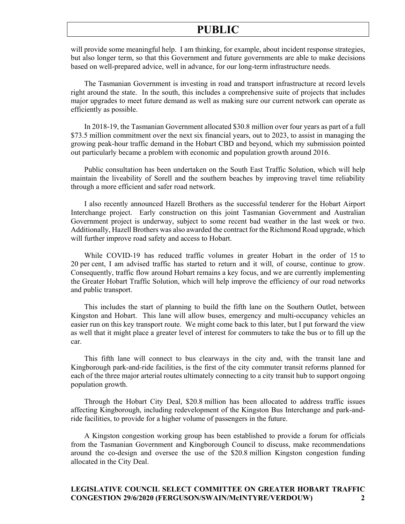will provide some meaningful help. I am thinking, for example, about incident response strategies, but also longer term, so that this Government and future governments are able to make decisions based on well-prepared advice, well in advance, for our long-term infrastructure needs.

The Tasmanian Government is investing in road and transport infrastructure at record levels right around the state. In the south, this includes a comprehensive suite of projects that includes major upgrades to meet future demand as well as making sure our current network can operate as efficiently as possible.

In 2018-19, the Tasmanian Government allocated \$30.8 million over four years as part of a full \$73.5 million commitment over the next six financial years, out to 2023, to assist in managing the growing peak-hour traffic demand in the Hobart CBD and beyond, which my submission pointed out particularly became a problem with economic and population growth around 2016.

Public consultation has been undertaken on the South East Traffic Solution, which will help maintain the liveability of Sorell and the southern beaches by improving travel time reliability through a more efficient and safer road network.

I also recently announced Hazell Brothers as the successful tenderer for the Hobart Airport Interchange project. Early construction on this joint Tasmanian Government and Australian Government project is underway, subject to some recent bad weather in the last week or two. Additionally, Hazell Brothers was also awarded the contract for the Richmond Road upgrade, which will further improve road safety and access to Hobart.

While COVID-19 has reduced traffic volumes in greater Hobart in the order of 15 to 20 per cent, I am advised traffic has started to return and it will, of course, continue to grow. Consequently, traffic flow around Hobart remains a key focus, and we are currently implementing the Greater Hobart Traffic Solution, which will help improve the efficiency of our road networks and public transport.

This includes the start of planning to build the fifth lane on the Southern Outlet, between Kingston and Hobart. This lane will allow buses, emergency and multi-occupancy vehicles an easier run on this key transport route. We might come back to this later, but I put forward the view as well that it might place a greater level of interest for commuters to take the bus or to fill up the car.

This fifth lane will connect to bus clearways in the city and, with the transit lane and Kingborough park-and-ride facilities, is the first of the city commuter transit reforms planned for each of the three major arterial routes ultimately connecting to a city transit hub to support ongoing population growth.

Through the Hobart City Deal, \$20.8 million has been allocated to address traffic issues affecting Kingborough, including redevelopment of the Kingston Bus Interchange and park-andride facilities, to provide for a higher volume of passengers in the future.

A Kingston congestion working group has been established to provide a forum for officials from the Tasmanian Government and Kingborough Council to discuss, make recommendations around the co-design and oversee the use of the \$20.8 million Kingston congestion funding allocated in the City Deal.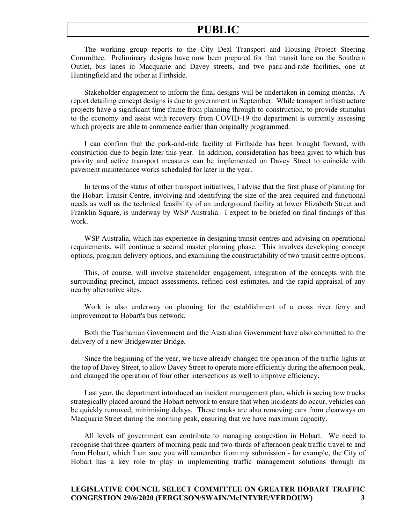The working group reports to the City Deal Transport and Housing Project Steering Committee. Preliminary designs have now been prepared for that transit lane on the Southern Outlet, bus lanes in Macquarie and Davey streets, and two park-and-ride facilities, one at Huntingfield and the other at Firthside.

Stakeholder engagement to inform the final designs will be undertaken in coming months. A report detailing concept designs is due to government in September. While transport infrastructure projects have a significant time frame from planning through to construction, to provide stimulus to the economy and assist with recovery from COVID-19 the department is currently assessing which projects are able to commence earlier than originally programmed.

I can confirm that the park-and-ride facility at Firthside has been brought forward, with construction due to begin later this year. In addition, consideration has been given to which bus priority and active transport measures can be implemented on Davey Street to coincide with pavement maintenance works scheduled for later in the year.

In terms of the status of other transport initiatives, I advise that the first phase of planning for the Hobart Transit Centre, involving and identifying the size of the area required and functional needs as well as the technical feasibility of an underground facility at lower Elizabeth Street and Franklin Square, is underway by WSP Australia. I expect to be briefed on final findings of this work.

WSP Australia, which has experience in designing transit centres and advising on operational requirements, will continue a second master planning phase. This involves developing concept options, program delivery options, and examining the constructability of two transit centre options.

This, of course, will involve stakeholder engagement, integration of the concepts with the surrounding precinct, impact assessments, refined cost estimates, and the rapid appraisal of any nearby alternative sites.

Work is also underway on planning for the establishment of a cross river ferry and improvement to Hobart's bus network.

Both the Tasmanian Government and the Australian Government have also committed to the delivery of a new Bridgewater Bridge.

Since the beginning of the year, we have already changed the operation of the traffic lights at the top of Davey Street, to allow Davey Street to operate more efficiently during the afternoon peak, and changed the operation of four other intersections as well to improve efficiency.

Last year, the department introduced an incident management plan, which is seeing tow trucks strategically placed around the Hobart network to ensure that when incidents do occur, vehicles can be quickly removed, minimising delays. These trucks are also removing cars from clearways on Macquarie Street during the morning peak, ensuring that we have maximum capacity.

All levels of government can contribute to managing congestion in Hobart. We need to recognise that three-quarters of morning peak and two-thirds of afternoon peak traffic travel to and from Hobart, which I am sure you will remember from my submission - for example, the City of Hobart has a key role to play in implementing traffic management solutions through its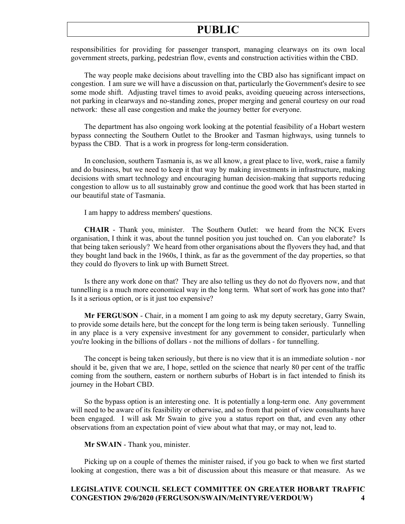responsibilities for providing for passenger transport, managing clearways on its own local government streets, parking, pedestrian flow, events and construction activities within the CBD.

The way people make decisions about travelling into the CBD also has significant impact on congestion. I am sure we will have a discussion on that, particularly the Government's desire to see some mode shift. Adjusting travel times to avoid peaks, avoiding queueing across intersections, not parking in clearways and no-standing zones, proper merging and general courtesy on our road network: these all ease congestion and make the journey better for everyone.

The department has also ongoing work looking at the potential feasibility of a Hobart western bypass connecting the Southern Outlet to the Brooker and Tasman highways, using tunnels to bypass the CBD. That is a work in progress for long-term consideration.

In conclusion, southern Tasmania is, as we all know, a great place to live, work, raise a family and do business, but we need to keep it that way by making investments in infrastructure, making decisions with smart technology and encouraging human decision-making that supports reducing congestion to allow us to all sustainably grow and continue the good work that has been started in our beautiful state of Tasmania.

I am happy to address members' questions.

**CHAIR** - Thank you, minister. The Southern Outlet: we heard from the NCK Evers organisation, I think it was, about the tunnel position you just touched on. Can you elaborate? Is that being taken seriously? We heard from other organisations about the flyovers they had, and that they bought land back in the 1960s, I think, as far as the government of the day properties, so that they could do flyovers to link up with Burnett Street.

Is there any work done on that? They are also telling us they do not do flyovers now, and that tunnelling is a much more economical way in the long term. What sort of work has gone into that? Is it a serious option, or is it just too expensive?

**Mr FERGUSON** - Chair, in a moment I am going to ask my deputy secretary, Garry Swain, to provide some details here, but the concept for the long term is being taken seriously. Tunnelling in any place is a very expensive investment for any government to consider, particularly when you're looking in the billions of dollars - not the millions of dollars - for tunnelling.

The concept is being taken seriously, but there is no view that it is an immediate solution - nor should it be, given that we are, I hope, settled on the science that nearly 80 per cent of the traffic coming from the southern, eastern or northern suburbs of Hobart is in fact intended to finish its journey in the Hobart CBD.

So the bypass option is an interesting one. It is potentially a long-term one. Any government will need to be aware of its feasibility or otherwise, and so from that point of view consultants have been engaged. I will ask Mr Swain to give you a status report on that, and even any other observations from an expectation point of view about what that may, or may not, lead to.

#### **Mr SWAIN** - Thank you, minister.

Picking up on a couple of themes the minister raised, if you go back to when we first started looking at congestion, there was a bit of discussion about this measure or that measure. As we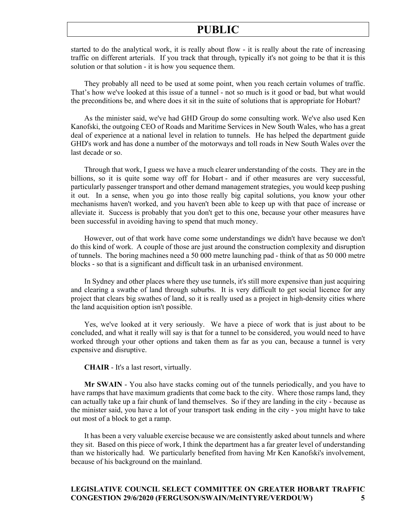started to do the analytical work, it is really about flow - it is really about the rate of increasing traffic on different arterials. If you track that through, typically it's not going to be that it is this solution or that solution - it is how you sequence them.

They probably all need to be used at some point, when you reach certain volumes of traffic. That's how we've looked at this issue of a tunnel - not so much is it good or bad, but what would the preconditions be, and where does it sit in the suite of solutions that is appropriate for Hobart?

As the minister said, we've had GHD Group do some consulting work. We've also used Ken Kanofski, the outgoing CEO of Roads and Maritime Services in New South Wales, who has a great deal of experience at a national level in relation to tunnels. He has helped the department guide GHD's work and has done a number of the motorways and toll roads in New South Wales over the last decade or so.

Through that work, I guess we have a much clearer understanding of the costs. They are in the billions, so it is quite some way off for Hobart - and if other measures are very successful, particularly passenger transport and other demand management strategies, you would keep pushing it out. In a sense, when you go into those really big capital solutions, you know your other mechanisms haven't worked, and you haven't been able to keep up with that pace of increase or alleviate it. Success is probably that you don't get to this one, because your other measures have been successful in avoiding having to spend that much money.

However, out of that work have come some understandings we didn't have because we don't do this kind of work. A couple of those are just around the construction complexity and disruption of tunnels. The boring machines need a 50 000 metre launching pad - think of that as 50 000 metre blocks - so that is a significant and difficult task in an urbanised environment.

In Sydney and other places where they use tunnels, it's still more expensive than just acquiring and clearing a swathe of land through suburbs. It is very difficult to get social licence for any project that clears big swathes of land, so it is really used as a project in high-density cities where the land acquisition option isn't possible.

Yes, we've looked at it very seriously. We have a piece of work that is just about to be concluded, and what it really will say is that for a tunnel to be considered, you would need to have worked through your other options and taken them as far as you can, because a tunnel is very expensive and disruptive.

**CHAIR** - It's a last resort, virtually.

**Mr SWAIN** - You also have stacks coming out of the tunnels periodically, and you have to have ramps that have maximum gradients that come back to the city. Where those ramps land, they can actually take up a fair chunk of land themselves. So if they are landing in the city - because as the minister said, you have a lot of your transport task ending in the city - you might have to take out most of a block to get a ramp.

It has been a very valuable exercise because we are consistently asked about tunnels and where they sit. Based on this piece of work, I think the department has a far greater level of understanding than we historically had. We particularly benefited from having Mr Ken Kanofski's involvement, because of his background on the mainland.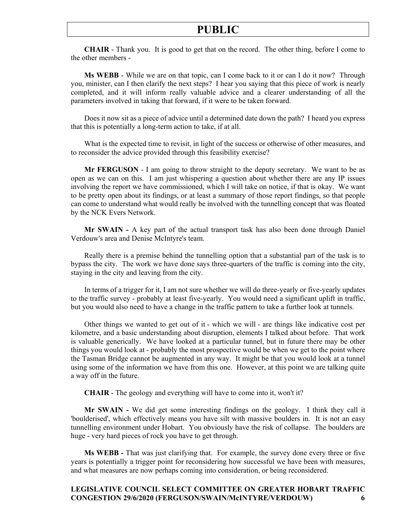**CHAIR** - Thank you. It is good to get that on the record. The other thing, before I come to the other members -

**Ms WEBB** - While we are on that topic, can I come back to it or can I do it now? Through you, minister, can I then clarify the next steps? I hear you saying that this piece of work is nearly completed, and it will inform really valuable advice and a clearer understanding of all the parameters involved in taking that forward, if it were to be taken forward.

Does it now sit as a piece of advice until a determined date down the path? I heard you express that this is potentially a long-term action to take, if at all.

What is the expected time to revisit, in light of the success or otherwise of other measures, and to reconsider the advice provided through this feasibility exercise?

**Mr FERGUSON** - I am going to throw straight to the deputy secretary. We want to be as open as we can on this. I am just whispering a question about whether there are any IP issues involving the report we have commissioned, which I will take on notice, if that is okay. We want to be pretty open about its findings, or at least a summary of those report findings, so that people can come to understand what would really be involved with the tunnelling concept that was floated by the NCK Evers Network.

**Mr SWAIN -** A key part of the actual transport task has also been done through Daniel Verdouw's area and Denise McIntyre's team.

Really there is a premise behind the tunnelling option that a substantial part of the task is to bypass the city. The work we have done says three-quarters of the traffic is coming into the city, staying in the city and leaving from the city.

In terms of a trigger for it, I am not sure whether we will do three-yearly or five-yearly updates to the traffic survey - probably at least five-yearly. You would need a significant uplift in traffic, but you would also need to have a change in the traffic pattern to take a further look at tunnels.

Other things we wanted to get out of it - which we will - are things like indicative cost per kilometre, and a basic understanding about disruption, elements I talked about before. That work is valuable generically. We have looked at a particular tunnel, but in future there may be other things you would look at - probably the most prospective would be when we get to the point where the Tasman Bridge cannot be augmented in any way. It might be that you would look at a tunnel using some of the information we have from this one. However, at this point we are talking quite a way off in the future.

**CHAIR** - The geology and everything will have to come into it, won't it?

**Mr SWAIN -** We did get some interesting findings on the geology. I think they call it 'boulderised', which effectively means you have silt with massive boulders in. It is not an easy tunnelling environment under Hobart. You obviously have the risk of collapse. The boulders are huge - very hard pieces of rock you have to get through.

**Ms WEBB -** That was just clarifying that. For example, the survey done every three or five years is potentially a trigger point for reconsidering how successful we have been with measures, and what measures are now perhaps coming into consideration, or being reconsidered.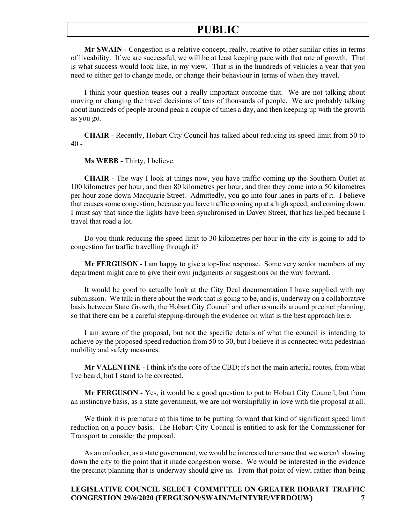**Mr SWAIN -** Congestion is a relative concept, really, relative to other similar cities in terms of liveability. If we are successful, we will be at least keeping pace with that rate of growth. That is what success would look like, in my view. That is in the hundreds of vehicles a year that you need to either get to change mode, or change their behaviour in terms of when they travel.

I think your question teases out a really important outcome that. We are not talking about moving or changing the travel decisions of tens of thousands of people. We are probably talking about hundreds of people around peak a couple of times a day, and then keeping up with the growth as you go.

**CHAIR** - Recently, Hobart City Council has talked about reducing its speed limit from 50 to  $40 -$ 

**Ms WEBB** - Thirty, I believe.

**CHAIR** - The way I look at things now, you have traffic coming up the Southern Outlet at 100 kilometres per hour, and then 80 kilometres per hour, and then they come into a 50 kilometres per hour zone down Macquarie Street. Admittedly, you go into four lanes in parts of it. I believe that causes some congestion, because you have traffic coming up at a high speed, and coming down. I must say that since the lights have been synchronised in Davey Street, that has helped because I travel that road a lot.

Do you think reducing the speed limit to 30 kilometres per hour in the city is going to add to congestion for traffic travelling through it?

**Mr FERGUSON** - I am happy to give a top-line response. Some very senior members of my department might care to give their own judgments or suggestions on the way forward.

It would be good to actually look at the City Deal documentation I have supplied with my submission. We talk in there about the work that is going to be, and is, underway on a collaborative basis between State Growth, the Hobart City Council and other councils around precinct planning, so that there can be a careful stepping-through the evidence on what is the best approach here.

I am aware of the proposal, but not the specific details of what the council is intending to achieve by the proposed speed reduction from 50 to 30, but I believe it is connected with pedestrian mobility and safety measures.

**Mr VALENTINE** - I think it's the core of the CBD; it's not the main arterial routes, from what I've heard, but I stand to be corrected.

**Mr FERGUSON** - Yes, it would be a good question to put to Hobart City Council, but from an instinctive basis, as a state government, we are not worshipfully in love with the proposal at all.

We think it is premature at this time to be putting forward that kind of significant speed limit reduction on a policy basis. The Hobart City Council is entitled to ask for the Commissioner for Transport to consider the proposal.

As an onlooker, as a state government, we would be interested to ensure that we weren't slowing down the city to the point that it made congestion worse. We would be interested in the evidence the precinct planning that is underway should give us. From that point of view, rather than being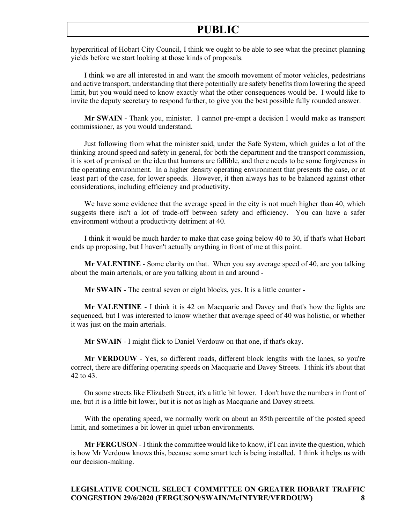hypercritical of Hobart City Council, I think we ought to be able to see what the precinct planning yields before we start looking at those kinds of proposals.

I think we are all interested in and want the smooth movement of motor vehicles, pedestrians and active transport, understanding that there potentially are safety benefits from lowering the speed limit, but you would need to know exactly what the other consequences would be. I would like to invite the deputy secretary to respond further, to give you the best possible fully rounded answer.

**Mr SWAIN** - Thank you, minister. I cannot pre-empt a decision I would make as transport commissioner, as you would understand.

Just following from what the minister said, under the Safe System, which guides a lot of the thinking around speed and safety in general, for both the department and the transport commission, it is sort of premised on the idea that humans are fallible, and there needs to be some forgiveness in the operating environment. In a higher density operating environment that presents the case, or at least part of the case, for lower speeds. However, it then always has to be balanced against other considerations, including efficiency and productivity.

We have some evidence that the average speed in the city is not much higher than 40, which suggests there isn't a lot of trade-off between safety and efficiency. You can have a safer environment without a productivity detriment at 40.

I think it would be much harder to make that case going below 40 to 30, if that's what Hobart ends up proposing, but I haven't actually anything in front of me at this point.

**Mr VALENTINE** - Some clarity on that. When you say average speed of 40, are you talking about the main arterials, or are you talking about in and around -

**Mr SWAIN** - The central seven or eight blocks, yes. It is a little counter -

**Mr VALENTINE** - I think it is 42 on Macquarie and Davey and that's how the lights are sequenced, but I was interested to know whether that average speed of 40 was holistic, or whether it was just on the main arterials.

**Mr SWAIN** - I might flick to Daniel Verdouw on that one, if that's okay.

**Mr VERDOUW** - Yes, so different roads, different block lengths with the lanes, so you're correct, there are differing operating speeds on Macquarie and Davey Streets. I think it's about that 42 to 43.

On some streets like Elizabeth Street, it's a little bit lower. I don't have the numbers in front of me, but it is a little bit lower, but it is not as high as Macquarie and Davey streets.

With the operating speed, we normally work on about an 85th percentile of the posted speed limit, and sometimes a bit lower in quiet urban environments.

**Mr FERGUSON** - I think the committee would like to know, if I can invite the question, which is how Mr Verdouw knows this, because some smart tech is being installed. I think it helps us with our decision-making.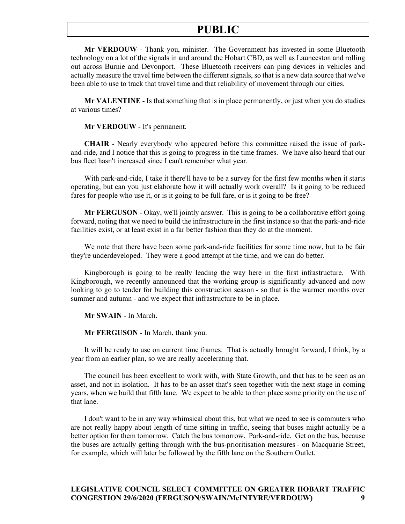**Mr VERDOUW** - Thank you, minister. The Government has invested in some Bluetooth technology on a lot of the signals in and around the Hobart CBD, as well as Launceston and rolling out across Burnie and Devonport. These Bluetooth receivers can ping devices in vehicles and actually measure the travel time between the different signals, so that is a new data source that we've been able to use to track that travel time and that reliability of movement through our cities.

**Mr VALENTINE** - Is that something that is in place permanently, or just when you do studies at various times?

#### **Mr VERDOUW** - It's permanent.

**CHAIR** - Nearly everybody who appeared before this committee raised the issue of parkand-ride, and I notice that this is going to progress in the time frames. We have also heard that our bus fleet hasn't increased since I can't remember what year.

With park-and-ride, I take it there'll have to be a survey for the first few months when it starts operating, but can you just elaborate how it will actually work overall? Is it going to be reduced fares for people who use it, or is it going to be full fare, or is it going to be free?

**Mr FERGUSON** - Okay, we'll jointly answer. This is going to be a collaborative effort going forward, noting that we need to build the infrastructure in the first instance so that the park-and-ride facilities exist, or at least exist in a far better fashion than they do at the moment.

We note that there have been some park-and-ride facilities for some time now, but to be fair they're underdeveloped. They were a good attempt at the time, and we can do better.

Kingborough is going to be really leading the way here in the first infrastructure. With Kingborough, we recently announced that the working group is significantly advanced and now looking to go to tender for building this construction season - so that is the warmer months over summer and autumn - and we expect that infrastructure to be in place.

**Mr SWAIN** - In March.

**Mr FERGUSON** - In March, thank you.

It will be ready to use on current time frames. That is actually brought forward, I think, by a year from an earlier plan, so we are really accelerating that.

The council has been excellent to work with, with State Growth, and that has to be seen as an asset, and not in isolation. It has to be an asset that's seen together with the next stage in coming years, when we build that fifth lane. We expect to be able to then place some priority on the use of that lane.

I don't want to be in any way whimsical about this, but what we need to see is commuters who are not really happy about length of time sitting in traffic, seeing that buses might actually be a better option for them tomorrow. Catch the bus tomorrow. Park-and-ride. Get on the bus, because the buses are actually getting through with the bus-prioritisation measures - on Macquarie Street, for example, which will later be followed by the fifth lane on the Southern Outlet.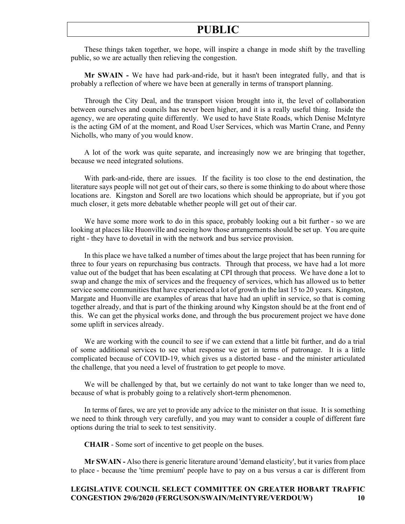These things taken together, we hope, will inspire a change in mode shift by the travelling public, so we are actually then relieving the congestion.

**Mr SWAIN -** We have had park-and-ride, but it hasn't been integrated fully, and that is probably a reflection of where we have been at generally in terms of transport planning.

Through the City Deal, and the transport vision brought into it, the level of collaboration between ourselves and councils has never been higher, and it is a really useful thing. Inside the agency, we are operating quite differently. We used to have State Roads, which Denise McIntyre is the acting GM of at the moment, and Road User Services, which was Martin Crane, and Penny Nicholls, who many of you would know.

A lot of the work was quite separate, and increasingly now we are bringing that together, because we need integrated solutions.

With park-and-ride, there are issues. If the facility is too close to the end destination, the literature says people will not get out of their cars, so there is some thinking to do about where those locations are. Kingston and Sorell are two locations which should be appropriate, but if you got much closer, it gets more debatable whether people will get out of their car.

We have some more work to do in this space, probably looking out a bit further - so we are looking at places like Huonville and seeing how those arrangements should be set up. You are quite right - they have to dovetail in with the network and bus service provision.

In this place we have talked a number of times about the large project that has been running for three to four years on repurchasing bus contracts. Through that process, we have had a lot more value out of the budget that has been escalating at CPI through that process. We have done a lot to swap and change the mix of services and the frequency of services, which has allowed us to better service some communities that have experienced a lot of growth in the last 15 to 20 years. Kingston, Margate and Huonville are examples of areas that have had an uplift in service, so that is coming together already, and that is part of the thinking around why Kingston should be at the front end of this. We can get the physical works done, and through the bus procurement project we have done some uplift in services already.

We are working with the council to see if we can extend that a little bit further, and do a trial of some additional services to see what response we get in terms of patronage. It is a little complicated because of COVID-19, which gives us a distorted base - and the minister articulated the challenge, that you need a level of frustration to get people to move.

We will be challenged by that, but we certainly do not want to take longer than we need to, because of what is probably going to a relatively short-term phenomenon.

In terms of fares, we are yet to provide any advice to the minister on that issue. It is something we need to think through very carefully, and you may want to consider a couple of different fare options during the trial to seek to test sensitivity.

**CHAIR** - Some sort of incentive to get people on the buses.

**Mr SWAIN -** Also there is generic literature around 'demand elasticity', but it varies from place to place - because the 'time premium' people have to pay on a bus versus a car is different from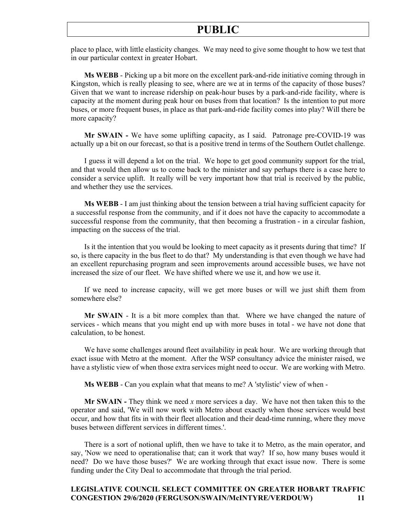place to place, with little elasticity changes. We may need to give some thought to how we test that in our particular context in greater Hobart.

**Ms WEBB** - Picking up a bit more on the excellent park-and-ride initiative coming through in Kingston, which is really pleasing to see, where are we at in terms of the capacity of those buses? Given that we want to increase ridership on peak-hour buses by a park-and-ride facility, where is capacity at the moment during peak hour on buses from that location? Is the intention to put more buses, or more frequent buses, in place as that park-and-ride facility comes into play? Will there be more capacity?

**Mr SWAIN -** We have some uplifting capacity, as I said. Patronage pre-COVID-19 was actually up a bit on our forecast, so that is a positive trend in terms of the Southern Outlet challenge.

I guess it will depend a lot on the trial. We hope to get good community support for the trial, and that would then allow us to come back to the minister and say perhaps there is a case here to consider a service uplift. It really will be very important how that trial is received by the public, and whether they use the services.

**Ms WEBB** - I am just thinking about the tension between a trial having sufficient capacity for a successful response from the community, and if it does not have the capacity to accommodate a successful response from the community, that then becoming a frustration - in a circular fashion, impacting on the success of the trial.

Is it the intention that you would be looking to meet capacity as it presents during that time? If so, is there capacity in the bus fleet to do that? My understanding is that even though we have had an excellent repurchasing program and seen improvements around accessible buses, we have not increased the size of our fleet. We have shifted where we use it, and how we use it.

If we need to increase capacity, will we get more buses or will we just shift them from somewhere else?

**Mr SWAIN** - It is a bit more complex than that. Where we have changed the nature of services - which means that you might end up with more buses in total - we have not done that calculation, to be honest.

We have some challenges around fleet availability in peak hour. We are working through that exact issue with Metro at the moment. After the WSP consultancy advice the minister raised, we have a stylistic view of when those extra services might need to occur. We are working with Metro.

**Ms WEBB** - Can you explain what that means to me? A 'stylistic' view of when -

**Mr SWAIN -** They think we need *x* more services a day. We have not then taken this to the operator and said, 'We will now work with Metro about exactly when those services would best occur, and how that fits in with their fleet allocation and their dead-time running, where they move buses between different services in different times.'.

There is a sort of notional uplift, then we have to take it to Metro, as the main operator, and say, 'Now we need to operationalise that; can it work that way? If so, how many buses would it need? Do we have those buses?' We are working through that exact issue now. There is some funding under the City Deal to accommodate that through the trial period.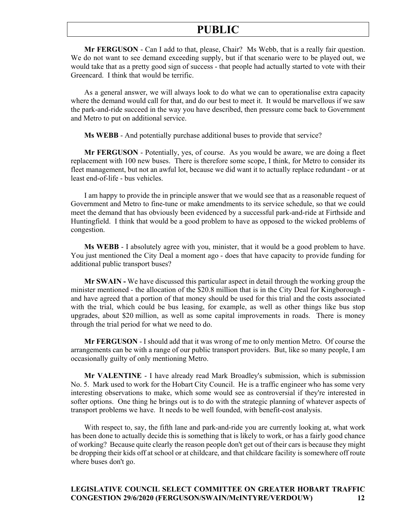**Mr FERGUSON** - Can I add to that, please, Chair? Ms Webb, that is a really fair question. We do not want to see demand exceeding supply, but if that scenario were to be played out, we would take that as a pretty good sign of success - that people had actually started to vote with their Greencard. I think that would be terrific.

As a general answer, we will always look to do what we can to operationalise extra capacity where the demand would call for that, and do our best to meet it. It would be marvellous if we saw the park-and-ride succeed in the way you have described, then pressure come back to Government and Metro to put on additional service.

**Ms WEBB** - And potentially purchase additional buses to provide that service?

**Mr FERGUSON** - Potentially, yes, of course. As you would be aware, we are doing a fleet replacement with 100 new buses. There is therefore some scope, I think, for Metro to consider its fleet management, but not an awful lot, because we did want it to actually replace redundant - or at least end-of-life - bus vehicles.

I am happy to provide the in principle answer that we would see that as a reasonable request of Government and Metro to fine-tune or make amendments to its service schedule, so that we could meet the demand that has obviously been evidenced by a successful park-and-ride at Firthside and Huntingfield. I think that would be a good problem to have as opposed to the wicked problems of congestion.

**Ms WEBB** - I absolutely agree with you, minister, that it would be a good problem to have. You just mentioned the City Deal a moment ago - does that have capacity to provide funding for additional public transport buses?

**Mr SWAIN -** We have discussed this particular aspect in detail through the working group the minister mentioned - the allocation of the \$20.8 million that is in the City Deal for Kingborough and have agreed that a portion of that money should be used for this trial and the costs associated with the trial, which could be bus leasing, for example, as well as other things like bus stop upgrades, about \$20 million, as well as some capital improvements in roads. There is money through the trial period for what we need to do.

**Mr FERGUSON** - I should add that it was wrong of me to only mention Metro. Of course the arrangements can be with a range of our public transport providers. But, like so many people, I am occasionally guilty of only mentioning Metro.

**Mr VALENTINE** - I have already read Mark Broadley's submission, which is submission No. 5. Mark used to work for the Hobart City Council. He is a traffic engineer who has some very interesting observations to make, which some would see as controversial if they're interested in softer options. One thing he brings out is to do with the strategic planning of whatever aspects of transport problems we have. It needs to be well founded, with benefit-cost analysis.

With respect to, say, the fifth lane and park-and-ride you are currently looking at, what work has been done to actually decide this is something that is likely to work, or has a fairly good chance of working? Because quite clearly the reason people don't get out of their cars is because they might be dropping their kids off at school or at childcare, and that childcare facility is somewhere off route where buses don't go.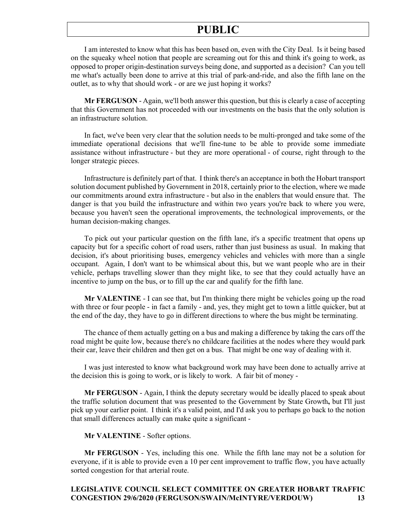I am interested to know what this has been based on, even with the City Deal. Is it being based on the squeaky wheel notion that people are screaming out for this and think it's going to work, as opposed to proper origin-destination surveys being done, and supported as a decision? Can you tell me what's actually been done to arrive at this trial of park-and-ride, and also the fifth lane on the outlet, as to why that should work - or are we just hoping it works?

**Mr FERGUSON** - Again, we'll both answer this question, but this is clearly a case of accepting that this Government has not proceeded with our investments on the basis that the only solution is an infrastructure solution.

In fact, we've been very clear that the solution needs to be multi-pronged and take some of the immediate operational decisions that we'll fine-tune to be able to provide some immediate assistance without infrastructure - but they are more operational - of course, right through to the longer strategic pieces.

Infrastructure is definitely part of that. I think there's an acceptance in both the Hobart transport solution document published by Government in 2018, certainly prior to the election, where we made our commitments around extra infrastructure - but also in the enablers that would ensure that. The danger is that you build the infrastructure and within two years you're back to where you were, because you haven't seen the operational improvements, the technological improvements, or the human decision-making changes.

To pick out your particular question on the fifth lane, it's a specific treatment that opens up capacity but for a specific cohort of road users, rather than just business as usual. In making that decision, it's about prioritising buses, emergency vehicles and vehicles with more than a single occupant. Again, I don't want to be whimsical about this, but we want people who are in their vehicle, perhaps travelling slower than they might like, to see that they could actually have an incentive to jump on the bus, or to fill up the car and qualify for the fifth lane.

**Mr VALENTINE** - I can see that, but I'm thinking there might be vehicles going up the road with three or four people - in fact a family - and, yes, they might get to town a little quicker, but at the end of the day, they have to go in different directions to where the bus might be terminating.

The chance of them actually getting on a bus and making a difference by taking the cars off the road might be quite low, because there's no childcare facilities at the nodes where they would park their car, leave their children and then get on a bus. That might be one way of dealing with it.

I was just interested to know what background work may have been done to actually arrive at the decision this is going to work, or is likely to work. A fair bit of money -

**Mr FERGUSON** - Again, I think the deputy secretary would be ideally placed to speak about the traffic solution document that was presented to the Government by State Growth**,** but I'll just pick up your earlier point. I think it's a valid point, and I'd ask you to perhaps go back to the notion that small differences actually can make quite a significant -

**Mr VALENTINE** - Softer options.

**Mr FERGUSON** - Yes, including this one. While the fifth lane may not be a solution for everyone, if it is able to provide even a 10 per cent improvement to traffic flow, you have actually sorted congestion for that arterial route.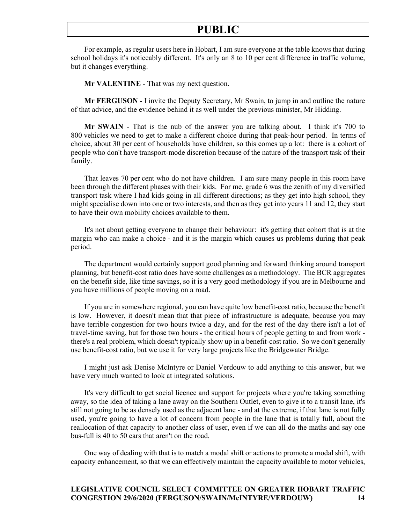For example, as regular users here in Hobart, I am sure everyone at the table knows that during school holidays it's noticeably different. It's only an 8 to 10 per cent difference in traffic volume, but it changes everything.

**Mr VALENTINE** - That was my next question.

**Mr FERGUSON** - I invite the Deputy Secretary, Mr Swain, to jump in and outline the nature of that advice, and the evidence behind it as well under the previous minister, Mr Hidding.

**Mr SWAIN** - That is the nub of the answer you are talking about. I think it's 700 to 800 vehicles we need to get to make a different choice during that peak-hour period. In terms of choice, about 30 per cent of households have children, so this comes up a lot: there is a cohort of people who don't have transport-mode discretion because of the nature of the transport task of their family.

That leaves 70 per cent who do not have children. I am sure many people in this room have been through the different phases with their kids. For me, grade 6 was the zenith of my diversified transport task where I had kids going in all different directions; as they get into high school, they might specialise down into one or two interests, and then as they get into years 11 and 12, they start to have their own mobility choices available to them.

It's not about getting everyone to change their behaviour: it's getting that cohort that is at the margin who can make a choice - and it is the margin which causes us problems during that peak period.

The department would certainly support good planning and forward thinking around transport planning, but benefit-cost ratio does have some challenges as a methodology. The BCR aggregates on the benefit side, like time savings, so it is a very good methodology if you are in Melbourne and you have millions of people moving on a road.

If you are in somewhere regional, you can have quite low benefit-cost ratio, because the benefit is low. However, it doesn't mean that that piece of infrastructure is adequate, because you may have terrible congestion for two hours twice a day, and for the rest of the day there isn't a lot of travel-time saving, but for those two hours - the critical hours of people getting to and from work there's a real problem, which doesn't typically show up in a benefit-cost ratio. So we don't generally use benefit-cost ratio, but we use it for very large projects like the Bridgewater Bridge.

I might just ask Denise McIntyre or Daniel Verdouw to add anything to this answer, but we have very much wanted to look at integrated solutions.

It's very difficult to get social licence and support for projects where you're taking something away, so the idea of taking a lane away on the Southern Outlet, even to give it to a transit lane, it's still not going to be as densely used as the adjacent lane - and at the extreme, if that lane is not fully used, you're going to have a lot of concern from people in the lane that is totally full, about the reallocation of that capacity to another class of user, even if we can all do the maths and say one bus-full is 40 to 50 cars that aren't on the road.

One way of dealing with that is to match a modal shift or actions to promote a modal shift, with capacity enhancement, so that we can effectively maintain the capacity available to motor vehicles,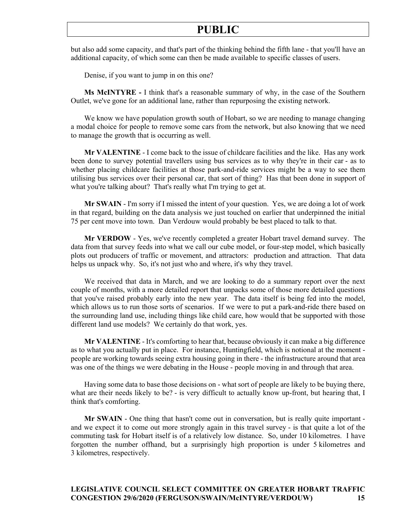but also add some capacity, and that's part of the thinking behind the fifth lane - that you'll have an additional capacity, of which some can then be made available to specific classes of users.

Denise, if you want to jump in on this one?

**Ms McINTYRE -** I think that's a reasonable summary of why, in the case of the Southern Outlet, we've gone for an additional lane, rather than repurposing the existing network.

We know we have population growth south of Hobart, so we are needing to manage changing a modal choice for people to remove some cars from the network, but also knowing that we need to manage the growth that is occurring as well.

**Mr VALENTINE** - I come back to the issue of childcare facilities and the like. Has any work been done to survey potential travellers using bus services as to why they're in their car - as to whether placing childcare facilities at those park-and-ride services might be a way to see them utilising bus services over their personal car, that sort of thing? Has that been done in support of what you're talking about? That's really what I'm trying to get at.

**Mr SWAIN** - I'm sorry if I missed the intent of your question. Yes, we are doing a lot of work in that regard, building on the data analysis we just touched on earlier that underpinned the initial 75 per cent move into town. Dan Verdouw would probably be best placed to talk to that.

**Mr VERDOW** - Yes, we've recently completed a greater Hobart travel demand survey. The data from that survey feeds into what we call our cube model, or four-step model, which basically plots out producers of traffic or movement, and attractors: production and attraction. That data helps us unpack why. So, it's not just who and where, it's why they travel.

We received that data in March, and we are looking to do a summary report over the next couple of months, with a more detailed report that unpacks some of those more detailed questions that you've raised probably early into the new year. The data itself is being fed into the model, which allows us to run those sorts of scenarios. If we were to put a park-and-ride there based on the surrounding land use, including things like child care, how would that be supported with those different land use models? We certainly do that work, yes.

**Mr VALENTINE** - It's comforting to hear that, because obviously it can make a big difference as to what you actually put in place. For instance, Huntingfield, which is notional at the moment people are working towards seeing extra housing going in there - the infrastructure around that area was one of the things we were debating in the House - people moving in and through that area.

Having some data to base those decisions on - what sort of people are likely to be buying there, what are their needs likely to be? - is very difficult to actually know up-front, but hearing that, I think that's comforting.

**Mr SWAIN** - One thing that hasn't come out in conversation, but is really quite important and we expect it to come out more strongly again in this travel survey - is that quite a lot of the commuting task for Hobart itself is of a relatively low distance. So, under 10 kilometres. I have forgotten the number offhand, but a surprisingly high proportion is under 5 kilometres and 3 kilometres, respectively.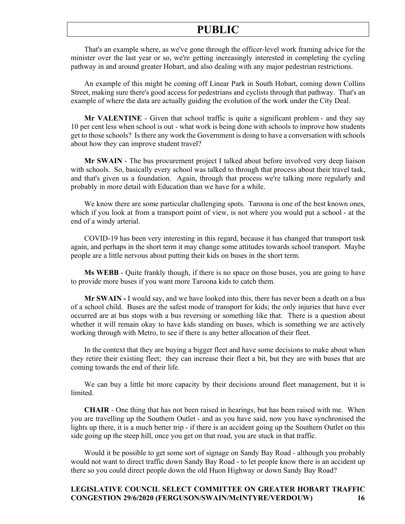That's an example where, as we've gone through the officer-level work framing advice for the minister over the last year or so, we're getting increasingly interested in completing the cycling pathway in and around greater Hobart, and also dealing with any major pedestrian restrictions.

An example of this might be coming off Linear Park in South Hobart, coming down Collins Street, making sure there's good access for pedestrians and cyclists through that pathway. That's an example of where the data are actually guiding the evolution of the work under the City Deal.

**Mr VALENTINE** - Given that school traffic is quite a significant problem - and they say 10 per cent less when school is out - what work is being done with schools to improve how students get to those schools? Is there any work the Government is doing to have a conversation with schools about how they can improve student travel?

**Mr SWAIN** - The bus procurement project I talked about before involved very deep liaison with schools. So, basically every school was talked to through that process about their travel task, and that's given us a foundation. Again, through that process we're talking more regularly and probably in more detail with Education than we have for a while.

We know there are some particular challenging spots. Taroona is one of the best known ones, which if you look at from a transport point of view, is not where you would put a school - at the end of a windy arterial.

COVID-19 has been very interesting in this regard, because it has changed that transport task again, and perhaps in the short term it may change some attitudes towards school transport. Maybe people are a little nervous about putting their kids on buses in the short term.

**Ms WEBB** - Quite frankly though, if there is no space on those buses, you are going to have to provide more buses if you want more Taroona kids to catch them.

**Mr SWAIN -** I would say, and we have looked into this, there has never been a death on a bus of a school child. Buses are the safest mode of transport for kids; the only injuries that have ever occurred are at bus stops with a bus reversing or something like that. There is a question about whether it will remain okay to have kids standing on buses, which is something we are actively working through with Metro, to see if there is any better allocation of their fleet.

In the context that they are buying a bigger fleet and have some decisions to make about when they retire their existing fleet; they can increase their fleet a bit, but they are with buses that are coming towards the end of their life.

We can buy a little bit more capacity by their decisions around fleet management, but it is limited.

**CHAIR** - One thing that has not been raised in hearings, but has been raised with me. When you are travelling up the Southern Outlet - and as you have said, now you have synchronised the lights up there, it is a much better trip - if there is an accident going up the Southern Outlet on this side going up the steep hill, once you get on that road, you are stuck in that traffic.

Would it be possible to get some sort of signage on Sandy Bay Road - although you probably would not want to direct traffic down Sandy Bay Road - to let people know there is an accident up there so you could direct people down the old Huon Highway or down Sandy Bay Road?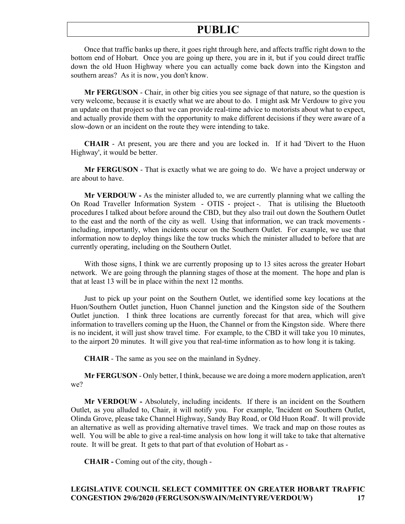Once that traffic banks up there, it goes right through here, and affects traffic right down to the bottom end of Hobart. Once you are going up there, you are in it, but if you could direct traffic down the old Huon Highway where you can actually come back down into the Kingston and southern areas? As it is now, you don't know.

**Mr FERGUSON** - Chair, in other big cities you see signage of that nature, so the question is very welcome, because it is exactly what we are about to do. I might ask Mr Verdouw to give you an update on that project so that we can provide real-time advice to motorists about what to expect, and actually provide them with the opportunity to make different decisions if they were aware of a slow-down or an incident on the route they were intending to take.

**CHAIR** - At present, you are there and you are locked in. If it had 'Divert to the Huon Highway', it would be better.

**Mr FERGUSON** - That is exactly what we are going to do. We have a project underway or are about to have.

**Mr VERDOUW -** As the minister alluded to, we are currently planning what we calling the On Road Traveller Information System - OTIS - project -. That is utilising the Bluetooth procedures I talked about before around the CBD, but they also trail out down the Southern Outlet to the east and the north of the city as well. Using that information, we can track movements including, importantly, when incidents occur on the Southern Outlet. For example, we use that information now to deploy things like the tow trucks which the minister alluded to before that are currently operating, including on the Southern Outlet.

With those signs, I think we are currently proposing up to 13 sites across the greater Hobart network. We are going through the planning stages of those at the moment. The hope and plan is that at least 13 will be in place within the next 12 months.

Just to pick up your point on the Southern Outlet, we identified some key locations at the Huon/Southern Outlet junction, Huon Channel junction and the Kingston side of the Southern Outlet junction. I think three locations are currently forecast for that area, which will give information to travellers coming up the Huon, the Channel or from the Kingston side. Where there is no incident, it will just show travel time. For example, to the CBD it will take you 10 minutes, to the airport 20 minutes. It will give you that real-time information as to how long it is taking.

**CHAIR** - The same as you see on the mainland in Sydney.

**Mr FERGUSON** - Only better, I think, because we are doing a more modern application, aren't we?

**Mr VERDOUW -** Absolutely, including incidents. If there is an incident on the Southern Outlet, as you alluded to, Chair, it will notify you. For example, 'Incident on Southern Outlet, Olinda Grove, please take Channel Highway, Sandy Bay Road, or Old Huon Road'. It will provide an alternative as well as providing alternative travel times. We track and map on those routes as well. You will be able to give a real-time analysis on how long it will take to take that alternative route. It will be great. It gets to that part of that evolution of Hobart as -

**CHAIR -** Coming out of the city, though -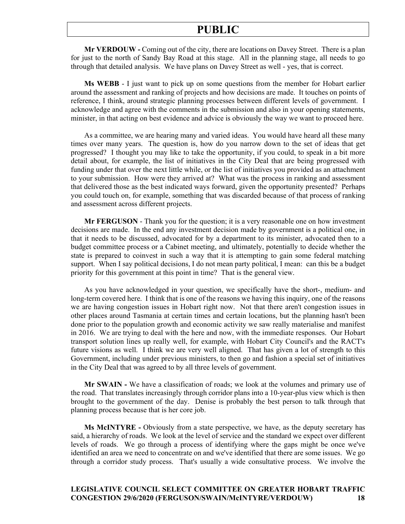**Mr VERDOUW -** Coming out of the city, there are locations on Davey Street. There is a plan for just to the north of Sandy Bay Road at this stage. All in the planning stage, all needs to go through that detailed analysis. We have plans on Davey Street as well - yes, that is correct.

**Ms WEBB** - I just want to pick up on some questions from the member for Hobart earlier around the assessment and ranking of projects and how decisions are made. It touches on points of reference, I think, around strategic planning processes between different levels of government. I acknowledge and agree with the comments in the submission and also in your opening statements, minister, in that acting on best evidence and advice is obviously the way we want to proceed here.

As a committee, we are hearing many and varied ideas. You would have heard all these many times over many years. The question is, how do you narrow down to the set of ideas that get progressed? I thought you may like to take the opportunity, if you could, to speak in a bit more detail about, for example, the list of initiatives in the City Deal that are being progressed with funding under that over the next little while, or the list of initiatives you provided as an attachment to your submission. How were they arrived at? What was the process in ranking and assessment that delivered those as the best indicated ways forward, given the opportunity presented? Perhaps you could touch on, for example, something that was discarded because of that process of ranking and assessment across different projects.

**Mr FERGUSON** - Thank you for the question; it is a very reasonable one on how investment decisions are made. In the end any investment decision made by government is a political one, in that it needs to be discussed, advocated for by a department to its minister, advocated then to a budget committee process or a Cabinet meeting, and ultimately, potentially to decide whether the state is prepared to coinvest in such a way that it is attempting to gain some federal matching support. When I say political decisions, I do not mean party political, I mean: can this be a budget priority for this government at this point in time? That is the general view.

As you have acknowledged in your question, we specifically have the short-, medium- and long-term covered here. I think that is one of the reasons we having this inquiry, one of the reasons we are having congestion issues in Hobart right now. Not that there aren't congestion issues in other places around Tasmania at certain times and certain locations, but the planning hasn't been done prior to the population growth and economic activity we saw really materialise and manifest in 2016. We are trying to deal with the here and now, with the immediate responses. Our Hobart transport solution lines up really well, for example, with Hobart City Council's and the RACT's future visions as well. I think we are very well aligned. That has given a lot of strength to this Government, including under previous ministers, to then go and fashion a special set of initiatives in the City Deal that was agreed to by all three levels of government.

**Mr SWAIN -** We have a classification of roads; we look at the volumes and primary use of the road. That translates increasingly through corridor plans into a 10-year-plus view which is then brought to the government of the day. Denise is probably the best person to talk through that planning process because that is her core job.

**Ms McINTYRE -** Obviously from a state perspective, we have, as the deputy secretary has said, a hierarchy of roads. We look at the level of service and the standard we expect over different levels of roads. We go through a process of identifying where the gaps might be once we've identified an area we need to concentrate on and we've identified that there are some issues. We go through a corridor study process. That's usually a wide consultative process. We involve the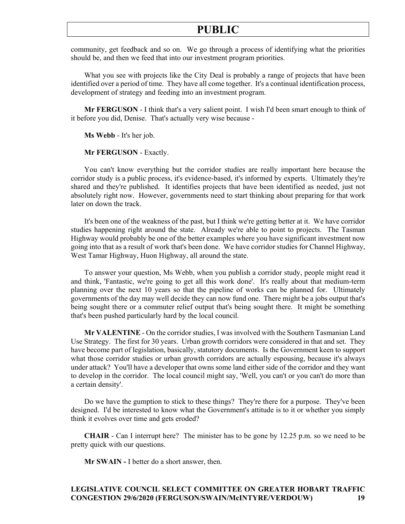community, get feedback and so on. We go through a process of identifying what the priorities should be, and then we feed that into our investment program priorities.

What you see with projects like the City Deal is probably a range of projects that have been identified over a period of time. They have all come together. It's a continual identification process, development of strategy and feeding into an investment program.

**Mr FERGUSON** - I think that's a very salient point. I wish I'd been smart enough to think of it before you did, Denise. That's actually very wise because -

**Ms Webb** - It's her job.

**Mr FERGUSON** - Exactly.

You can't know everything but the corridor studies are really important here because the corridor study is a public process, it's evidence-based, it's informed by experts. Ultimately they're shared and they're published. It identifies projects that have been identified as needed, just not absolutely right now. However, governments need to start thinking about preparing for that work later on down the track.

It's been one of the weakness of the past, but I think we're getting better at it. We have corridor studies happening right around the state. Already we're able to point to projects. The Tasman Highway would probably be one of the better examples where you have significant investment now going into that as a result of work that's been done. We have corridor studies for Channel Highway, West Tamar Highway, Huon Highway, all around the state.

To answer your question, Ms Webb, when you publish a corridor study, people might read it and think, 'Fantastic, we're going to get all this work done'. It's really about that medium-term planning over the next 10 years so that the pipeline of works can be planned for. Ultimately governments of the day may well decide they can now fund one. There might be a jobs output that's being sought there or a commuter relief output that's being sought there. It might be something that's been pushed particularly hard by the local council.

**Mr VALENTINE** - On the corridor studies, I was involved with the Southern Tasmanian Land Use Strategy. The first for 30 years. Urban growth corridors were considered in that and set. They have become part of legislation, basically, statutory documents. Is the Government keen to support what those corridor studies or urban growth corridors are actually espousing, because it's always under attack? You'll have a developer that owns some land either side of the corridor and they want to develop in the corridor. The local council might say, 'Well, you can't or you can't do more than a certain density'.

Do we have the gumption to stick to these things? They're there for a purpose. They've been designed. I'd be interested to know what the Government's attitude is to it or whether you simply think it evolves over time and gets eroded?

**CHAIR** - Can I interrupt here? The minister has to be gone by 12.25 p.m. so we need to be pretty quick with our questions.

**Mr SWAIN -** I better do a short answer, then.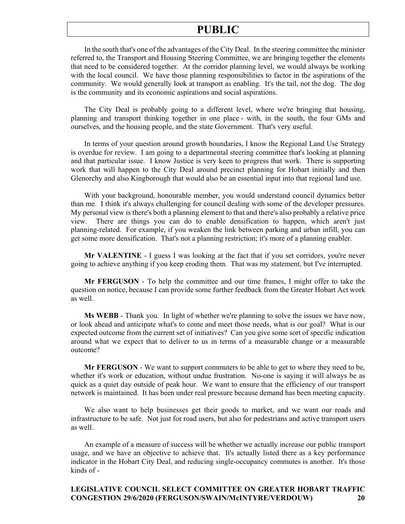In the south that's one of the advantages of the City Deal. In the steering committee the minister referred to, the Transport and Housing Steering Committee, we are bringing together the elements that need to be considered together. At the corridor planning level, we would always be working with the local council. We have those planning responsibilities to factor in the aspirations of the community. We would generally look at transport as enabling. It's the tail, not the dog. The dog is the community and its economic aspirations and social aspirations.

The City Deal is probably going to a different level, where we're bringing that housing, planning and transport thinking together in one place - with, in the south, the four GMs and ourselves, and the housing people, and the state Government. That's very useful.

In terms of your question around growth boundaries, I know the Regional Land Use Strategy is overdue for review. I am going to a departmental steering committee that's looking at planning and that particular issue. I know Justice is very keen to progress that work. There is supporting work that will happen to the City Deal around precinct planning for Hobart initially and then Glenorchy and also Kingborough that would also be an essential input into that regional land use.

With your background, honourable member, you would understand council dynamics better than me. I think it's always challenging for council dealing with some of the developer pressures. My personal view is there's both a planning element to that and there's also probably a relative price view. There are things you can do to enable densification to happen, which aren't just planning-related. For example, if you weaken the link between parking and urban infill, you can get some more densification. That's not a planning restriction; it's more of a planning enabler.

**Mr VALENTINE** - I guess I was looking at the fact that if you set corridors, you're never going to achieve anything if you keep eroding them. That was my statement, but I've interrupted.

**Mr FERGUSON** - To help the committee and our time frames, I might offer to take the question on notice, because I can provide some further feedback from the Greater Hobart Act work as well.

**Ms WEBB** - Thank you. In light of whether we're planning to solve the issues we have now, or look ahead and anticipate what's to come and meet those needs, what is our goal? What is our expected outcome from the current set of initiatives? Can you give some sort of specific indication around what we expect that to deliver to us in terms of a measurable change or a measurable outcome?

**Mr FERGUSON** - We want to support commuters to be able to get to where they need to be, whether it's work or education, without undue frustration. No-one is saying it will always be as quick as a quiet day outside of peak hour. We want to ensure that the efficiency of our transport network is maintained. It has been under real pressure because demand has been meeting capacity.

We also want to help businesses get their goods to market, and we want our roads and infrastructure to be safe. Not just for road users, but also for pedestrians and active transport users as well.

An example of a measure of success will be whether we actually increase our public transport usage, and we have an objective to achieve that. It's actually listed there as a key performance indicator in the Hobart City Deal, and reducing single-occupancy commutes is another. It's those kinds of -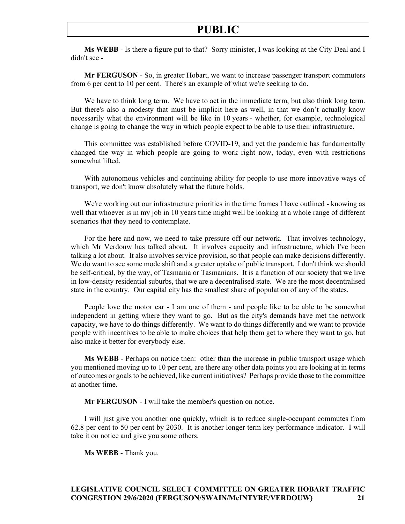**Ms WEBB** - Is there a figure put to that? Sorry minister, I was looking at the City Deal and I didn't see -

**Mr FERGUSON** - So, in greater Hobart, we want to increase passenger transport commuters from 6 per cent to 10 per cent. There's an example of what we're seeking to do.

We have to think long term. We have to act in the immediate term, but also think long term. But there's also a modesty that must be implicit here as well, in that we don't actually know necessarily what the environment will be like in 10 years - whether, for example, technological change is going to change the way in which people expect to be able to use their infrastructure.

This committee was established before COVID-19, and yet the pandemic has fundamentally changed the way in which people are going to work right now, today, even with restrictions somewhat lifted.

With autonomous vehicles and continuing ability for people to use more innovative ways of transport, we don't know absolutely what the future holds.

We're working out our infrastructure priorities in the time frames I have outlined - knowing as well that whoever is in my job in 10 years time might well be looking at a whole range of different scenarios that they need to contemplate.

For the here and now, we need to take pressure off our network. That involves technology, which Mr Verdouw has talked about. It involves capacity and infrastructure, which I've been talking a lot about. It also involves service provision, so that people can make decisions differently. We do want to see some mode shift and a greater uptake of public transport. I don't think we should be self-critical, by the way, of Tasmania or Tasmanians. It is a function of our society that we live in low-density residential suburbs, that we are a decentralised state. We are the most decentralised state in the country. Our capital city has the smallest share of population of any of the states.

People love the motor car - I am one of them - and people like to be able to be somewhat independent in getting where they want to go. But as the city's demands have met the network capacity, we have to do things differently. We want to do things differently and we want to provide people with incentives to be able to make choices that help them get to where they want to go, but also make it better for everybody else.

**Ms WEBB** - Perhaps on notice then: other than the increase in public transport usage which you mentioned moving up to 10 per cent, are there any other data points you are looking at in terms of outcomes or goals to be achieved, like current initiatives? Perhaps provide those to the committee at another time.

**Mr FERGUSON** - I will take the member's question on notice.

I will just give you another one quickly, which is to reduce single-occupant commutes from 62.8 per cent to 50 per cent by 2030. It is another longer term key performance indicator. I will take it on notice and give you some others.

**Ms WEBB** - Thank you.